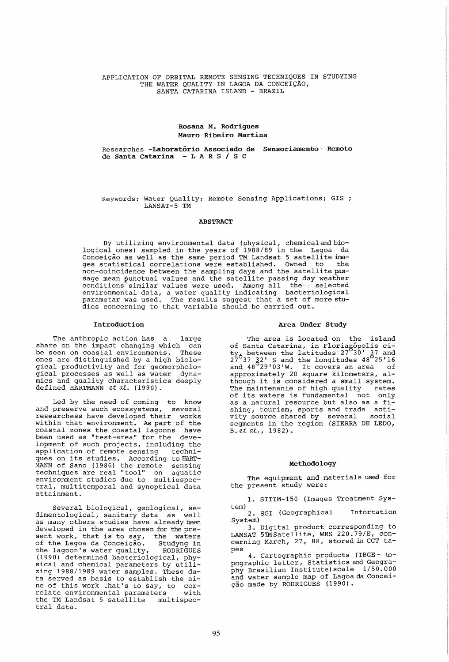# APPLICATION OF ORBITAL REMOTE SENSING TECHNIQUES IN STUDYING THE WATER QUALITY IN LAGOA DA CONCEIÇÃO, SANTA CATARINA ISLAND - BRAZIL

# Rosana M. Rodrigues Mauro Ribeiro Martins

# Researches <mark>-Laboratório Associado de Sensoriamento Remoto</mark><br>de <mark>Santa Catarina — L A R S / S C</mark>

# Keywords: Water Quality; Remote Sensing Applications; GIS LANSAT-5 TM

# ABSTRACT

By utilizing environmental data (physical, chemical and biological ones) sampled in the years of 1988/89 in the Lagoa da Conceição as well as the same period TM Landsat 5 satellite ima-<br>ges statistical correlations were established. Owned to the ges statistical correlations were established. Owned to non-coincidence between the sampling days and the satellite passage mean punctual values and the satellite passing day weather conditions similar values were used. Among all the selected environmental data, a water quality indicating bacteriological parametar was used. The results suggest that a set of more studies concerning to that variable should be carried out.

#### Introduction

The anthropic action has a large share on the impact changing which can<br>be seen on coastal environments. These be seen on coastal environments. ones are distinguished by a high biological productivity and for geomorphological productivity and for geomorphore<br>gical processes as well as water dynamics and quality characteristics deeply defined HARTMANN et *aL* (1990).

Led by the need of coming to know and preserve such ecossystems, several researchess have developed their works within that environment. As part of the coastal zones the poastal lagoons have been used as "test-area" for the development of such projects, including the application of remote sensing techniques on its studies. According to HART-MANN of Sano (1986) the remote sensing techniques are real "tool" on aquatic environment studies due to multiespectral, multitemporal and synoptical data attainment.

Several biological, geological, sedimentological, sanitary data as well as many others studies have already been developed in the area chosen for the present work, that is to say, the waters<br>of the Lagoa da Conceição. Studyng in of the Lagoa da Conceição. Studyng in<br>the lagoon's water quality, RODRIGUES the lagoon's water quality, (1990) determined bacteriological, physical and chemical parameters by utilizing 1988/1989 water samples. These data served as basis to establish the aine of this work that's to say, to correlate environmental parameters with the TM Landsat 5 satellite multispectral data.

### Area Under Study

The area is located on the island of Santa Catarina, in Florianopolis city<sub>6</sub> between the latitudes 27<sup>030</sup> 37 and  $27^6$ 37 32' S and the longitudes  $48^0$ 25'16<br>and  $48^0$ 29'03'W. It covers an area of approximately 20 square kilometers, al-though it is considered a small system. though it is considered a small system.<br>The maintenanie of high quality mates of its waters is fundamental not only as a natural resource but also as a fishing, tourism, sports and trade acti-<br>vity source shared by several social vity source shared by several segments in the region (SIERRA DE LEDO, B. et *aL,* 1982).

#### Methodology

The equipment and materials used for the present study were:

1. SITIM-150 (Images Treatment Sys-

tem) 2. SGI (Geographical Infortation System)

3. Digital product corresponding to LAMSAT 5™Satellite, WRS 220.79/E, con-<br>cerning March, 27, 88, stored in CCT ta-

pes 4. Cartographic products (IBGE- topographic letter, Statistics and Geography Brasilian Institute) scale 1/50.000 and water sample map of Lagoa da Concei ção made by RODRIGUES (1990).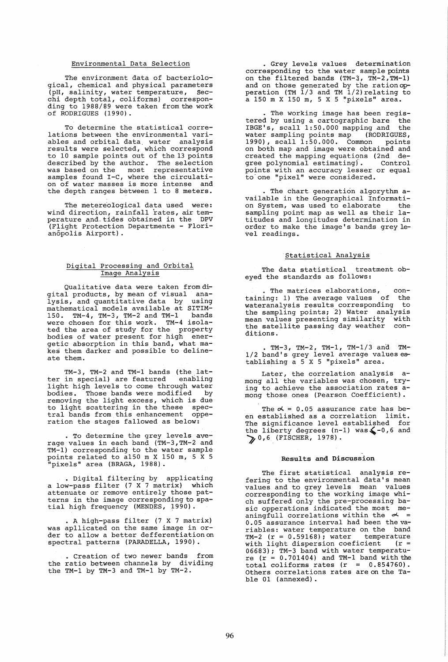# Environmental Data Selection

The environment data of bacteriological, chemical and physical parameters (pH, salinity, water temperature, 5ecchi depth total, coliforms) corresponding to 1988/89 were taken from the work of RODRIGUES (1990).

To determine the statistical correlations between the environmental variables and orbital data. water analysis results were selected, which correspond to 10 sample points out of the 13 points described by the author. The selection was based on the most representative samples found I-C, where the circulation of water masses is more intense and the depth ranges between 1 to 8 meters.

The metereological data used were: wind direction, rainfall rates, air temperature and tides obtained in the DPV (Flight Protection Departmente - Florianópolis Airport).

# Digital Processing and Orbital Image Analysis

Qualitative data were taken from di-gital products, by mean of visual analysis, and quantitative data by using mathematical models available at SITIM-15D. TM-4, TM-3, TM-2 and TM-1 bands were chosen for this work. TM-4 isolated the area of study for the property bodies of water present for high energetic absorption in this band, what makes them darker and possible to delineate them.

TM-3, TM-2 and TM-1 bands (the latter in special) are featured enabling ter in special) are featured enabling<br>light high levels to come through water bodies. Those bands were modified by removing the light excess, which is due to light scattering in the these spectral bands from this enhancement opperation the stages fallowed as below:

· To determine the grey levels average values in each band (TM-3,TM-2 and TM-1) corresponding to the water sample points related to a150 m X 150 m, 5 X 5 "pixels" area (BRAGA, 1988).

• Digital filtering by applicating a low-pass filter (7 X 7 matrix) which attenuate or remove entirely those patterns in the image corresponding to spatial high frequency (MENDES, 1990).

• A high-pass filter (7 X 7 matrix) was apllicated on the same image in order to allow a better defferentiationon spectral patterns (PARADELLA, 1990).

• Creation of two newer bands from the ratio between channels by dividing the TM-1 by TM-3 and TM-1 by TM-2.

• Grey levels values determination corresponding to the water sample points on the filtered bands (TM-3, TM-2,TM-1) and on those generated by the rationopperation (TM 1/3 and TM 1/2) relating to a 150 m X 150 m, 5 X 5 "pixels" area.

· The working image has been registered by using a cartographic bare the IBGE's, scall 1:50.000 mapping and the water sampling points map (RODRIGUES, 1990), scall 1:50.000. Common points 1990), scall 1:50.000. Common points<br>on both map and image were obtained and created the mapping equations (2nd de $green$  polynomial estimating). points with an accuracy lesser or equal to' one "pixel" were considered.

· The chart generation algorythm available in the Geographical Informati-<br>on System, was used to elaborate the on System, was used to elaborate sampling point map as well as their latitudes and longitudes determination in order to make the image's bands grey level readings.

# Statistical Analysis

The data statistical treatment obeyed the standards as follows:

The matrices elaborations, containing: 1) The average values of the wateranalysis results corresponding to the sampling points; 2) Water analysis mean values presenting similarity with<br>the satellite passing day weather conthe satellite passing day weather ditions.

 $\cdot$  TM-3, TM-2, TM-1, TM-1/3 and TM-1/2 band's grey level average values establishing a 5 X 5 "pixels" area.

Later, the correlation analysis among all'the variables was chosen, trying to achieve the association rates among those ones (Pearson Coefficient).

The  $\alpha$  = 0.05 assurance rate has been established as a correlation limit. The significance level established for the liberty degrees  $(n-1)$  was  $\leq -0.6$  and  $\geq 0.6$  (FISCHER, 1978).

#### Results and Discussion

The first statistical analysis refering to the environmental data's mean values and to grey levels mean values corresponding to the working image which suffered only the pre-processing basic opperations indicated the most meaningfull correlations within the  $\sim$  = 0.05 assurance interval had been the variables: water temperature on the band TM-2 (r = 0.59168); water temperature with light dispersion coeficient (r = 06683); TM-3 band with water temperatu $r = (r = 0.701404)$  and TM-1 band with the total coliforms rates  $(r = 0.854760)$ . Others correlations rates are on the Table 01 (annexed).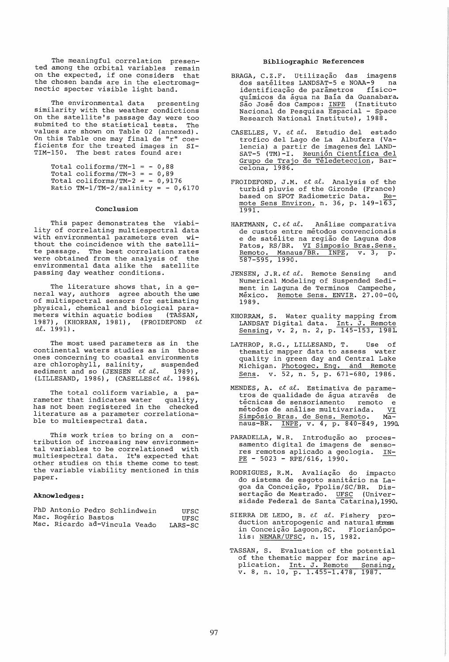The meaningful correlation presented among the orbital variables remaln on the expected, if one considers that the chosen bands are in the electromagnectic specter visible light band.

The environmental data presenting similarity with the weather condictions on the satellite's passage day were too on the subditive s passage day were too values are shown on Table 02 (annexed). On this Table one may final de "r" coeficients for the treated images in SI-TIM-ISO. The best rates found are:

> Total coliforms/TM-1 =  $-0,88$ Total coliforms/TM-3 =  $-0,89$ Total coliforms/TM-2 =  $-0,9176$ Ratio TM-1/TM-2/salinity =  $-0,6170$

#### Conclusion

This paper demonstrates the viability of correlating multiespectral data with environmental parameters even without the coincidence with the satellite passage. The best correlation rates were obtained from the analysis of the environmental data alike the satellite passing day weather conditions.

The literature shows that, in a general way, authors agree abouth the use of multispectral sensors for estimating physical, chemical and biological parameters within aquatic bodies 1987), (KHORRAN, 1981), (FROIDEFOND *et aL* 1991).

The most used parameters as in the continental waters studies as in those ones concerning to coastal environments are chlorophyll, salinity, suspended sediment and so (JENSEN *et al.* 1989), (LILLESAND, 1986), (CASELLESet al. 1986).

The total coliform variable, a parameter that indicates water quality, has not been registered in the checked literature as a parameter correlationaliterature as a parameter correlationa-<br>ble to multiespectral data.

This work tries to bring on a con- tribution of increasing new environmental variables to be correlationed with multiespectral data. It's expected that other studies on this theme come to test the variable viability mentioned in this paper.

# Aknowledges:

| PhD Antonio Pedro Schlindwein |  | UFSC    |
|-------------------------------|--|---------|
| Msc. Rogério Bastos           |  | UFSC    |
| Msc. Ricardo ad-Vincula Veado |  | LARS-SC |

#### Bibliographic References

- BRAGA, C.Z.F. Utilização das imagens<br>dos satélites LANDSAT-5 e NOAA-9 na ......<br>dos satélites LANDSAT-5 e NOAA-9 ma<br>identificação de parâmetros físicoidentificação de parâmetros quimicos da agua na Baia da Guanabara. Sao Jose dos Campos: INPE (Instituto Nacional de Pesquisa Espacial - Space Research National Institute), 1988.
- CASELLES, V. et al. Estudio del estado trofico del Lago de La Albufera (Valencia) a partir de imagenes del LAND-SAT-5 (TM)-I. Reunion Cientifica del Grupo de Trajo de Teledeteccion, Barcelona, 1986.
- FROIDEFOND, J.M. *et al*. Analysis of the turbid pluvie of the Gironde (France) based on SPOT Radiometric Data. Remote Sens Environ, n. 36, p.  $149-163$ , 1991.
- HARTMANN, C. et al. Analise comparativa de custos entre metodos convencionais e de satelite na regiao de Laguna dos Patos, RS/BR. VI Simposio Bras. Sens. Remoto. Manaus/BR. INPE, v. 3, p. 587-595, 1990.
- JENSEN, J.R. et al. Remote Sensing and Numerical Modeling of Suspended Sediment in Laguna de Terminos Campeche, México. Remote Sens. ENVIR. 27.00-00, 1989.
- KHORRAM, S. Water quality mapping from LANDSAT Digital data. Int. J. Remote Sensing, v. 2, n. 2, p. 145-153, 198L
- LATHROP, R.G., LILLESAND, T. Use of thematic mapper data to assess water quality in green day and Central Lake Michigan. Photogec. Eng. and Remote Sens. v. 52, n. 5, p. 671-680, 1986.
- MENDES, A. et al. Estimativa de parametros de qualidade de água através de<br>técnicas de sensoriamento remoto e técnicas de sensoriamento métodos de análise multivariada. VI Simpósio Bras. de Sens. Remoto. Manaus-BR. INPE, v. 4, p. 840-849, 1990.
- PARADELLA, W.R. Introdução ao proces-<br>samento digital de imagens de sensores remotos aplicado a geologia. IN- $PE - 5023 - RPE/616, 1990.$
- RODRIGUES, R.M. Avaliação do impacto<br>- do sistema de esgoto sanitário na La goa da Conceicao, Fpolis/SC/BR. Dissertação de Mestrado. UFSC (Universidade Federal de Santa Catarina), 1990.
- SIERRA DE LEDO, B. et al. Fishery production antropogenic and natural stress in Conceição Lagoon, SC. Florianopo-<br>lis: NEMAR/UFSC, n. 15, 1982.
- TASSAN, S. Evaluation of the potential of the thematic mapper for marine application. Int. J. Remote Sensing, v. 8, n. 10, p. 1.455-1.478, 1987.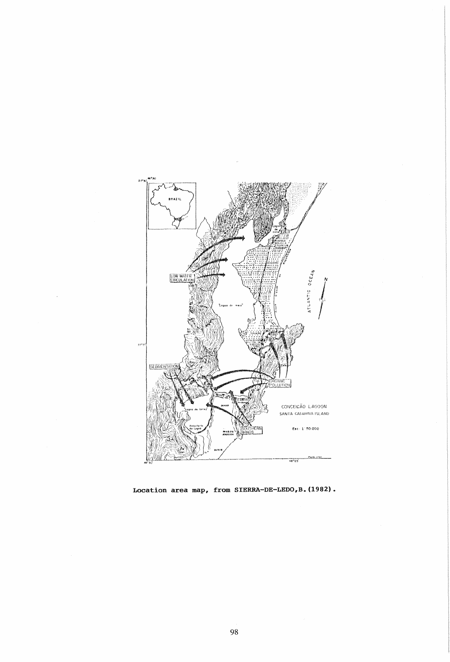

Location area map, from SIERRA-DE-LEDO, B. (1982).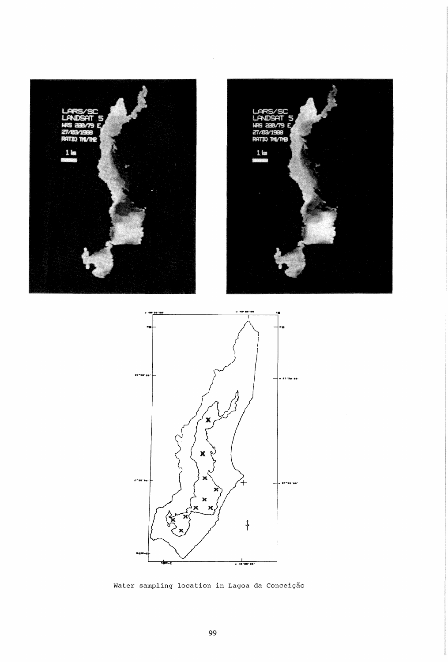





Water sampling location in Lagoa da Conceição